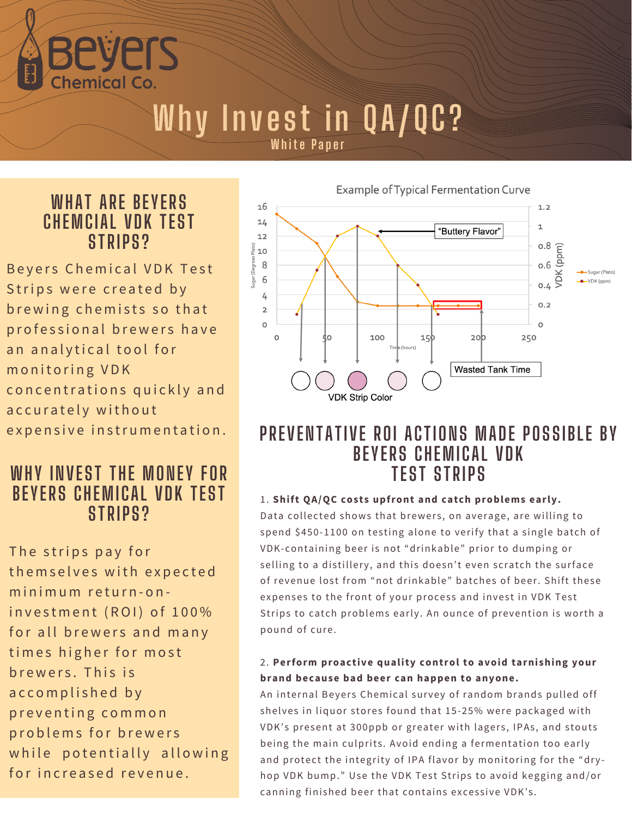PIS **Chemical Co** 

# **Why Invest in QA/QC?**

**White Paper** 

## **WHAT ARE BEYERS CHEMCIAL VDK TEST STRIPS?**

Bevers Chemical VDK Test Strips were created by brewing chemists so that professional brewers have an analytical tool for monitoring VDK concentrations quickly and a c c u r a t e l y with o ut expensive instrumentation.

## **WHY INVEST THE MONEY FOR BEYERS CHEMICAL VDK TEST STRIPS?**

The strips pay for themselves with expected minimum return-oninvestment (ROI) of 100% for all brewers and many times higher for most brewers. This is accomplished by p r e v e n ting common problems for brewers while potentially allowing for increased revenue.



## **PREVENTATIVE ROI ACTIONS MADE POSSIBLE BY BEYERS CHEMICAL VDK TEST STRIPS**

#### 1. **Shift QA/QC costs upfront and catch problems early.**

Data collected shows that brewers, on average, are willing to spend \$450-1100 on testing alone to verify that a single batch of VDK-containing beer is not "drinkable" prior to dumping or selling to a distillery, and this doesn't even scratch the surface of revenue lost from "not drinkable" batches of beer. Shift these expenses to the front of your process and invest in VDK Test Strips to catch problems early. An ounce of prevention is worth a pound of cure.

#### 2. **Perform proactive quality control to avoid tarnishing your brand because bad beer can happen to anyone.**

An internal Beyers Chemical survey of random brands pulled off shelves in liquor stores found that 15-25% were packaged with VDK's present at 300ppb or greater with lagers, IPAs, and stouts being the main culprits. Avoid ending a fermentation too early and protect the integrity of IPA flavor by monitoring for the "dryhop VDK bump." Use the VDK Test Strips to avoid kegging and/or canning finished beer that contains excessive VDK's.